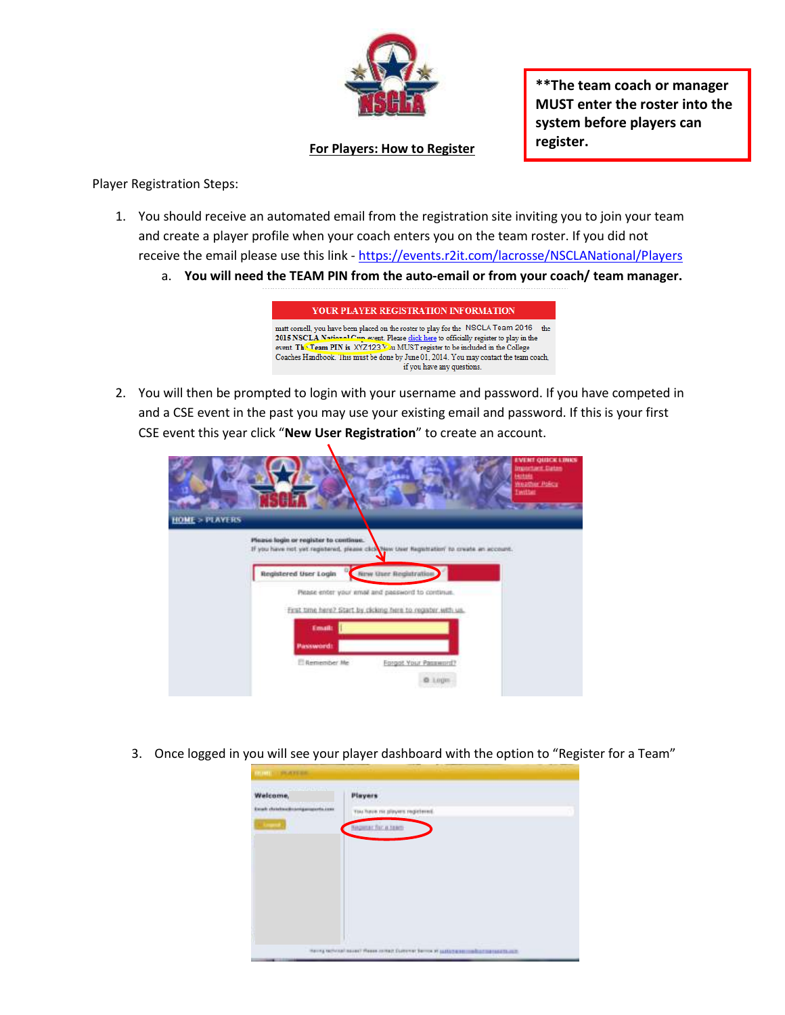

**\*\*The team coach or manager MUST enter the roster into the system before players can register.**

## **For Players: How to Register**

Player Registration Steps:

- 1. You should receive an automated email from the registration site inviting you to join your team and create a player profile when your coach enters you on the team roster. If you did not receive the email please use this link - <https://events.r2it.com/lacrosse/NSCLANational/Players>
	- a. **You will need the TEAM PIN from the auto-email or from your coach/ team manager.**

YOUR PLAYER REGISTRATION INFORMATION matt cornell, you have been placed on the roster to play for the  $\,$  NSCLA Team 2016  $\,$  the 2015 NSCLA National C event. Please click here to officially register to play in the event. This Team PIN is XYZ123 You MUST register to be included in the College Coaches Handbook. This must be done by June 01, 2014. You may contact the team coach, if you have any questions.

2. You will then be prompted to login with your username and password. If you have competed in and a CSE event in the past you may use your existing email and password. If this is your first CSE event this year click "**New User Registration**" to create an account.

|                          | <b>EVENT QUICK LINKS</b><br><b>Important Dates</b><br><b>Hotals</b><br>Weather Palicy<br>Initiat                                         |
|--------------------------|------------------------------------------------------------------------------------------------------------------------------------------|
| <b>HOME &gt; PLAYERS</b> |                                                                                                                                          |
|                          | Please login or register to continue.<br>If you have not yet registered, please click haw then Registration' to create an account.       |
|                          | Please enter your email and password to continue.                                                                                        |
|                          | Email:                                                                                                                                   |
|                          | E Aemender Me<br>Forgot Your Password?                                                                                                   |
|                          | New User Registration<br>Registered User Login<br>First time here? Start by cicking here to register with us.<br><b>Password:</b><br>0.1 |

3. Once logged in you will see your player dashboard with the option to "Register for a Team"

| <b>ANTISOPHIA COMPANY AND INCOME.</b><br>Welcome, | <b>Players</b>                  |
|---------------------------------------------------|---------------------------------|
| Exut chickweinsmigungerte.com                     | Tou have no players registered. |
|                                                   | <b>NAQUELE FOR A SEACH</b>      |
|                                                   |                                 |
|                                                   |                                 |
|                                                   |                                 |
|                                                   |                                 |
|                                                   |                                 |
|                                                   |                                 |
|                                                   |                                 |